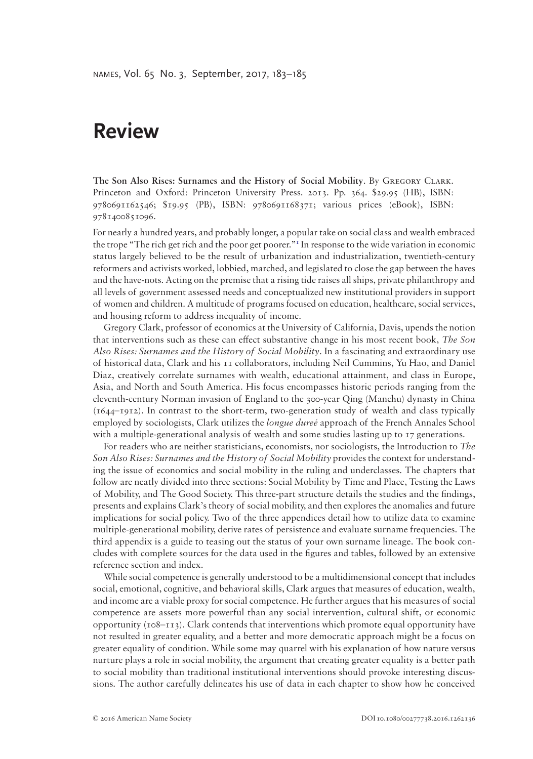## **Review**

**The Son Also Rises: Surnames and the History of Social Mobility**. By Gregory Clark. Princeton and Oxford: Princeton University Press. 2013. Pp. 364. \$29.95 (HB), ISBN: 9780691162546; \$19.95 (PB), ISBN: 9780691168371; various prices (eBook), ISBN: 9781400851096.

For nearly a hundred years, and probably longer, a popular take on social class and wealth embraced the trope "The rich get rich and the poor get poorer."<sup>1</sup> In response to the wide variation in economic status largely believed to be the result of urbanization and industrialization, twentieth-century reformers and activists worked, lobbied, marched, and legislated to close the gap between the haves and the have-nots. Acting on the premise that a rising tide raises all ships, private philanthropy and all levels of government assessed needs and conceptualized new institutional providers in support of women and children. A multitude of programs focused on education, healthcare, social services, and housing reform to address inequality of income.

Gregory Clark, professor of economics at the University of California, Davis, upends the notion that interventions such as these can effect substantive change in his most recent book, *The Son Also Rises: Surnames and the History of Social Mobility*. In a fascinating and extraordinary use of historical data, Clark and his 11 collaborators, including Neil Cummins, Yu Hao, and Daniel Diaz, creatively correlate surnames with wealth, educational attainment, and class in Europe, Asia, and North and South America. His focus encompasses historic periods ranging from the eleventh-century Norman invasion of England to the 300-year Qing (Manchu) dynasty in China (1644–1912). In contrast to the short-term, two-generation study of wealth and class typically employed by sociologists, Clark utilizes the *longue dureé* approach of the French Annales School with a multiple-generational analysis of wealth and some studies lasting up to 17 generations.

For readers who are neither statisticians, economists, nor sociologists, the Introduction to *The Son Also Rises: Surnames and the History of Social Mobility* provides the context for understanding the issue of economics and social mobility in the ruling and underclasses. The chapters that follow are neatly divided into three sections: Social Mobility by Time and Place, Testing the Laws of Mobility, and The Good Society. This three-part structure details the studies and the findings, presents and explains Clark's theory of social mobility, and then explores the anomalies and future implications for social policy. Two of the three appendices detail how to utilize data to examine multiple-generational mobility, derive rates of persistence and evaluate surname frequencies. The third appendix is a guide to teasing out the status of your own surname lineage. The book concludes with complete sources for the data used in the figures and tables, followed by an extensive reference section and index.

While social competence is generally understood to be a multidimensional concept that includes social, emotional, cognitive, and behavioral skills, Clark argues that measures of education, wealth, and income are a viable proxy for social competence. He further argues that his measures of social competence are assets more powerful than any social intervention, cultural shift, or economic opportunity  $(108-113)$ . Clark contends that interventions which promote equal opportunity have not resulted in greater equality, and a better and more democratic approach might be a focus on greater equality of condition. While some may quarrel with his explanation of how nature versus nurture plays a role in social mobility, the argument that creating greater equality is a better path to social mobility than traditional institutional interventions should provoke interesting discussions. The author carefully delineates his use of data in each chapter to show how he conceived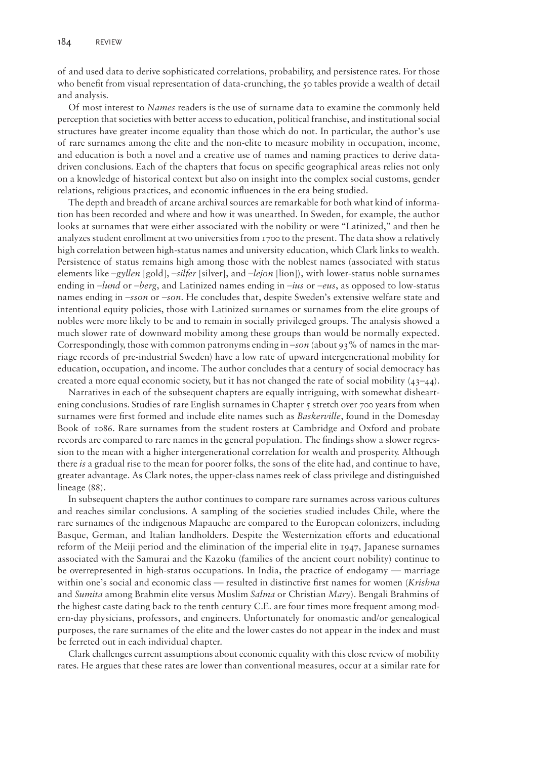of and used data to derive sophisticated correlations, probability, and persistence rates. For those who benefit from visual representation of data-crunching, the 50 tables provide a wealth of detail and analysis.

Of most interest to *Names* readers is the use of surname data to examine the commonly held perception that societies with better access to education, political franchise, and institutional social structures have greater income equality than those which do not. In particular, the author's use of rare surnames among the elite and the non-elite to measure mobility in occupation, income, and education is both a novel and a creative use of names and naming practices to derive datadriven conclusions. Each of the chapters that focus on specific geographical areas relies not only on a knowledge of historical context but also on insight into the complex social customs, gender relations, religious practices, and economic influences in the era being studied.

The depth and breadth of arcane archival sources are remarkable for both what kind of information has been recorded and where and how it was unearthed. In Sweden, for example, the author looks at surnames that were either associated with the nobility or were "Latinized," and then he analyzes student enrollment at two universities from 1700 to the present. The data show a relatively high correlation between high-status names and university education, which Clark links to wealth. Persistence of status remains high among those with the noblest names (associated with status elements like –*gyllen* [gold], –*silfer* [silver], and –*lejon* [lion]), with lower-status noble surnames ending in –*lund* or –*berg*, and Latinized names ending in –*ius* or –*eus*, as opposed to low-status names ending in –*sson* or –*son*. He concludes that, despite Sweden's extensive welfare state and intentional equity policies, those with Latinized surnames or surnames from the elite groups of nobles were more likely to be and to remain in socially privileged groups. The analysis showed a much slower rate of downward mobility among these groups than would be normally expected. Correspondingly, those with common patronyms ending in –*son* (about 93% of names in the marriage records of pre-industrial Sweden) have a low rate of upward intergenerational mobility for education, occupation, and income. The author concludes that a century of social democracy has created a more equal economic society, but it has not changed the rate of social mobility  $(43-44)$ .

Narratives in each of the subsequent chapters are equally intriguing, with somewhat disheartening conclusions. Studies of rare English surnames in Chapter 5 stretch over 700 years from when surnames were first formed and include elite names such as *Baskerville*, found in the Domesday Book of 1086. Rare surnames from the student rosters at Cambridge and Oxford and probate records are compared to rare names in the general population. The findings show a slower regression to the mean with a higher intergenerational correlation for wealth and prosperity. Although there *is* a gradual rise to the mean for poorer folks, the sons of the elite had, and continue to have, greater advantage. As Clark notes, the upper-class names reek of class privilege and distinguished lineage (88).

In subsequent chapters the author continues to compare rare surnames across various cultures and reaches similar conclusions. A sampling of the societies studied includes Chile, where the rare surnames of the indigenous Mapauche are compared to the European colonizers, including Basque, German, and Italian landholders. Despite the Westernization efforts and educational reform of the Meiji period and the elimination of the imperial elite in 1947, Japanese surnames associated with the Samurai and the Kazoku (families of the ancient court nobility) continue to be overrepresented in high-status occupations. In India, the practice of endogamy — marriage within one's social and economic class — resulted in distinctive first names for women (*Krishna* and *Sumita* among Brahmin elite versus Muslim *Salma* or Christian *Mary*). Bengali Brahmins of the highest caste dating back to the tenth century C.E. are four times more frequent among modern-day physicians, professors, and engineers. Unfortunately for onomastic and/or genealogical purposes, the rare surnames of the elite and the lower castes do not appear in the index and must be ferreted out in each individual chapter.

Clark challenges current assumptions about economic equality with this close review of mobility rates. He argues that these rates are lower than conventional measures, occur at a similar rate for